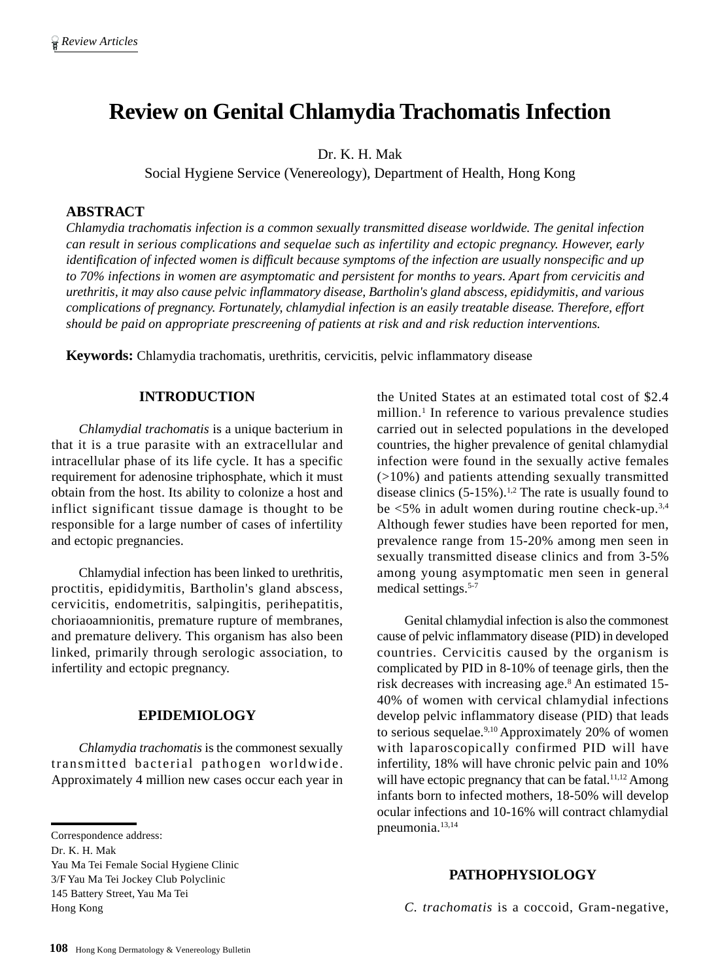# **Review on Genital Chlamydia Trachomatis Infection**

Dr. K. H. Mak

Social Hygiene Service (Venereology), Department of Health, Hong Kong

## **ABSTRACT**

*Chlamydia trachomatis infection is a common sexually transmitted disease worldwide. The genital infection can result in serious complications and sequelae such as infertility and ectopic pregnancy. However, early identification of infected women is difficult because symptoms of the infection are usually nonspecific and up to 70% infections in women are asymptomatic and persistent for months to years. Apart from cervicitis and urethritis, it may also cause pelvic inflammatory disease, Bartholin's gland abscess, epididymitis, and various complications of pregnancy. Fortunately, chlamydial infection is an easily treatable disease. Therefore, effort should be paid on appropriate prescreening of patients at risk and and risk reduction interventions.*

**Keywords:** Chlamydia trachomatis, urethritis, cervicitis, pelvic inflammatory disease

# **INTRODUCTION**

*Chlamydial trachomatis* is a unique bacterium in that it is a true parasite with an extracellular and intracellular phase of its life cycle. It has a specific requirement for adenosine triphosphate, which it must obtain from the host. Its ability to colonize a host and inflict significant tissue damage is thought to be responsible for a large number of cases of infertility and ectopic pregnancies.

Chlamydial infection has been linked to urethritis, proctitis, epididymitis, Bartholin's gland abscess, cervicitis, endometritis, salpingitis, perihepatitis, choriaoamnionitis, premature rupture of membranes, and premature delivery. This organism has also been linked, primarily through serologic association, to infertility and ectopic pregnancy.

# **EPIDEMIOLOGY**

*Chlamydia trachomatis* is the commonest sexually transmitted bacterial pathogen worldwide. Approximately 4 million new cases occur each year in

Yau Ma Tei Female Social Hygiene Clinic 3/F Yau Ma Tei Jockey Club Polyclinic 145 Battery Street, Yau Ma Tei Hong Kong

the United States at an estimated total cost of \$2.4 million.1 In reference to various prevalence studies carried out in selected populations in the developed countries, the higher prevalence of genital chlamydial infection were found in the sexually active females (>10%) and patients attending sexually transmitted disease clinics  $(5-15\%)$ .<sup>1,2</sup> The rate is usually found to be  $\lt 5\%$  in adult women during routine check-up.<sup>3,4</sup> Although fewer studies have been reported for men, prevalence range from 15-20% among men seen in sexually transmitted disease clinics and from 3-5% among young asymptomatic men seen in general medical settings.<sup>5-7</sup>

Genital chlamydial infection is also the commonest cause of pelvic inflammatory disease (PID) in developed countries. Cervicitis caused by the organism is complicated by PID in 8-10% of teenage girls, then the risk decreases with increasing age.8 An estimated 15- 40% of women with cervical chlamydial infections develop pelvic inflammatory disease (PID) that leads to serious sequelae.<sup>9,10</sup> Approximately 20% of women with laparoscopically confirmed PID will have infertility, 18% will have chronic pelvic pain and 10% will have ectopic pregnancy that can be fatal.<sup>11,12</sup> Among infants born to infected mothers, 18-50% will develop ocular infections and 10-16% will contract chlamydial pneumonia.<sup>13,14</sup>

### **PATHOPHYSIOLOGY**

*C. trachomatis* is a coccoid, Gram-negative,

Correspondence address:

Dr. K. H. Mak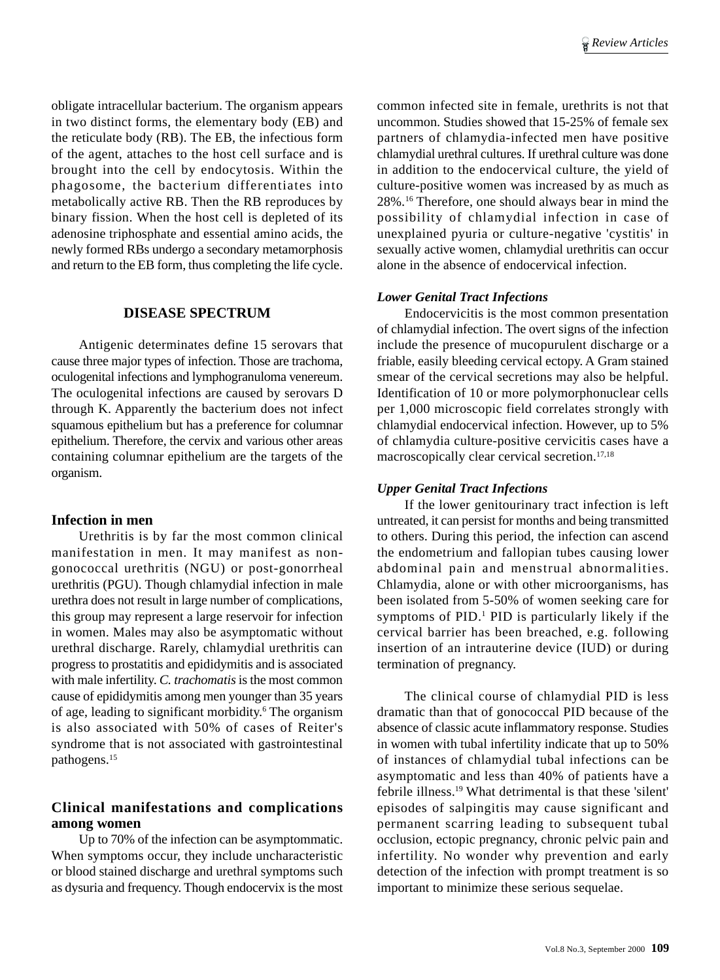obligate intracellular bacterium. The organism appears in two distinct forms, the elementary body (EB) and the reticulate body (RB). The EB, the infectious form of the agent, attaches to the host cell surface and is brought into the cell by endocytosis. Within the phagosome, the bacterium differentiates into metabolically active RB. Then the RB reproduces by binary fission. When the host cell is depleted of its adenosine triphosphate and essential amino acids, the newly formed RBs undergo a secondary metamorphosis and return to the EB form, thus completing the life cycle.

## **DISEASE SPECTRUM**

Antigenic determinates define 15 serovars that cause three major types of infection. Those are trachoma, oculogenital infections and lymphogranuloma venereum. The oculogenital infections are caused by serovars D through K. Apparently the bacterium does not infect squamous epithelium but has a preference for columnar epithelium. Therefore, the cervix and various other areas containing columnar epithelium are the targets of the organism.

### **Infection in men**

Urethritis is by far the most common clinical manifestation in men. It may manifest as nongonococcal urethritis (NGU) or post-gonorrheal urethritis (PGU). Though chlamydial infection in male urethra does not result in large number of complications, this group may represent a large reservoir for infection in women. Males may also be asymptomatic without urethral discharge. Rarely, chlamydial urethritis can progress to prostatitis and epididymitis and is associated with male infertility. *C. trachomatis* is the most common cause of epididymitis among men younger than 35 years of age, leading to significant morbidity.<sup>6</sup> The organism is also associated with 50% of cases of Reiter's syndrome that is not associated with gastrointestinal pathogens.15

# **Clinical manifestations and complications among women**

Up to 70% of the infection can be asymptommatic. When symptoms occur, they include uncharacteristic or blood stained discharge and urethral symptoms such as dysuria and frequency. Though endocervix is the most common infected site in female, urethrits is not that uncommon. Studies showed that 15-25% of female sex partners of chlamydia-infected men have positive chlamydial urethral cultures. If urethral culture was done in addition to the endocervical culture, the yield of culture-positive women was increased by as much as 28%.16 Therefore, one should always bear in mind the possibility of chlamydial infection in case of unexplained pyuria or culture-negative 'cystitis' in sexually active women, chlamydial urethritis can occur alone in the absence of endocervical infection.

#### *Lower Genital Tract Infections*

Endocervicitis is the most common presentation of chlamydial infection. The overt signs of the infection include the presence of mucopurulent discharge or a friable, easily bleeding cervical ectopy. A Gram stained smear of the cervical secretions may also be helpful. Identification of 10 or more polymorphonuclear cells per 1,000 microscopic field correlates strongly with chlamydial endocervical infection. However, up to 5% of chlamydia culture-positive cervicitis cases have a macroscopically clear cervical secretion.17,18

#### *Upper Genital Tract Infections*

If the lower genitourinary tract infection is left untreated, it can persist for months and being transmitted to others. During this period, the infection can ascend the endometrium and fallopian tubes causing lower abdominal pain and menstrual abnormalities. Chlamydia, alone or with other microorganisms, has been isolated from 5-50% of women seeking care for symptoms of PID.<sup>1</sup> PID is particularly likely if the cervical barrier has been breached, e.g. following insertion of an intrauterine device (IUD) or during termination of pregnancy.

The clinical course of chlamydial PID is less dramatic than that of gonococcal PID because of the absence of classic acute inflammatory response. Studies in women with tubal infertility indicate that up to 50% of instances of chlamydial tubal infections can be asymptomatic and less than 40% of patients have a febrile illness.19 What detrimental is that these 'silent' episodes of salpingitis may cause significant and permanent scarring leading to subsequent tubal occlusion, ectopic pregnancy, chronic pelvic pain and infertility. No wonder why prevention and early detection of the infection with prompt treatment is so important to minimize these serious sequelae.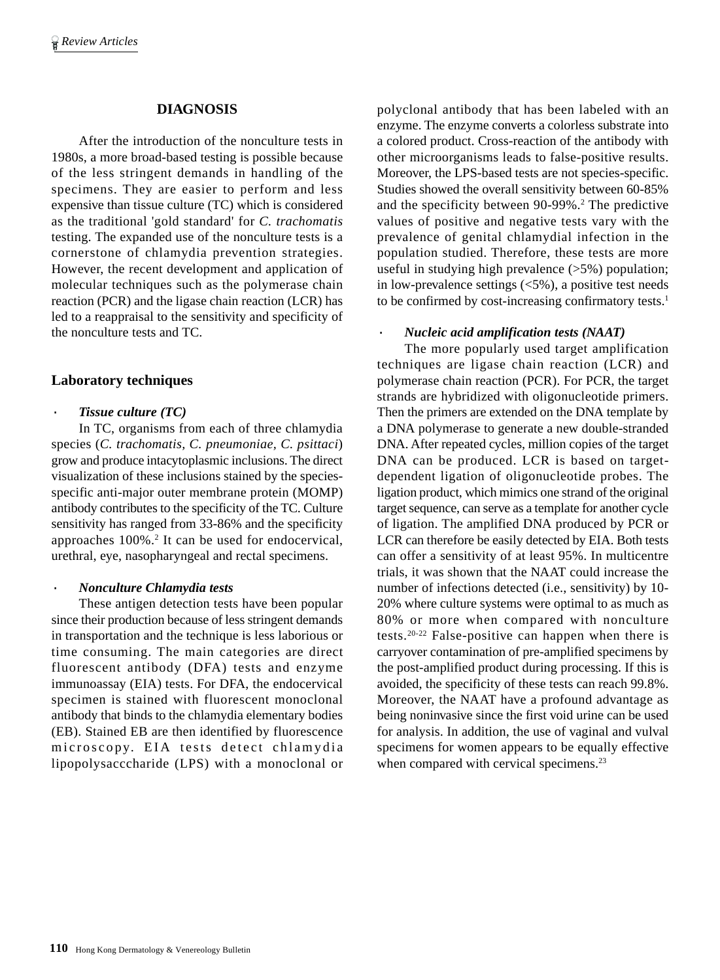# **DIAGNOSIS**

After the introduction of the nonculture tests in 1980s, a more broad-based testing is possible because of the less stringent demands in handling of the specimens. They are easier to perform and less expensive than tissue culture (TC) which is considered as the traditional 'gold standard' for *C. trachomatis* testing. The expanded use of the nonculture tests is a cornerstone of chlamydia prevention strategies. However, the recent development and application of molecular techniques such as the polymerase chain reaction (PCR) and the ligase chain reaction (LCR) has led to a reappraisal to the sensitivity and specificity of the nonculture tests and TC.

# **Laboratory techniques**

## **Tissue culture (TC)**

In TC, organisms from each of three chlamydia species (*C. trachomatis, C. pneumoniae, C. psittaci*) grow and produce intacytoplasmic inclusions. The direct visualization of these inclusions stained by the speciesspecific anti-major outer membrane protein (MOMP) antibody contributes to the specificity of the TC. Culture sensitivity has ranged from 33-86% and the specificity approaches 100%.<sup>2</sup> It can be used for endocervical, urethral, eye, nasopharyngeal and rectal specimens.

## · *Nonculture Chlamydia tests*

These antigen detection tests have been popular since their production because of less stringent demands in transportation and the technique is less laborious or time consuming. The main categories are direct fluorescent antibody (DFA) tests and enzyme immunoassay (EIA) tests. For DFA, the endocervical specimen is stained with fluorescent monoclonal antibody that binds to the chlamydia elementary bodies (EB). Stained EB are then identified by fluorescence microscopy. EIA tests detect chlamydia lipopolysacccharide (LPS) with a monoclonal or polyclonal antibody that has been labeled with an enzyme. The enzyme converts a colorless substrate into a colored product. Cross-reaction of the antibody with other microorganisms leads to false-positive results. Moreover, the LPS-based tests are not species-specific. Studies showed the overall sensitivity between 60-85% and the specificity between 90-99%.<sup>2</sup> The predictive values of positive and negative tests vary with the prevalence of genital chlamydial infection in the population studied. Therefore, these tests are more useful in studying high prevalence  $(>5\%)$  population; in low-prevalence settings (<5%), a positive test needs to be confirmed by cost-increasing confirmatory tests.<sup>1</sup>

# · *Nucleic acid amplification tests (NAAT)*

The more popularly used target amplification techniques are ligase chain reaction (LCR) and polymerase chain reaction (PCR). For PCR, the target strands are hybridized with oligonucleotide primers. Then the primers are extended on the DNA template by a DNA polymerase to generate a new double-stranded DNA. After repeated cycles, million copies of the target DNA can be produced. LCR is based on targetdependent ligation of oligonucleotide probes. The ligation product, which mimics one strand of the original target sequence, can serve as a template for another cycle of ligation. The amplified DNA produced by PCR or LCR can therefore be easily detected by EIA. Both tests can offer a sensitivity of at least 95%. In multicentre trials, it was shown that the NAAT could increase the number of infections detected (i.e., sensitivity) by 10- 20% where culture systems were optimal to as much as 80% or more when compared with nonculture tests.20-22 False-positive can happen when there is carryover contamination of pre-amplified specimens by the post-amplified product during processing. If this is avoided, the specificity of these tests can reach 99.8%. Moreover, the NAAT have a profound advantage as being noninvasive since the first void urine can be used for analysis. In addition, the use of vaginal and vulval specimens for women appears to be equally effective when compared with cervical specimens.<sup>23</sup>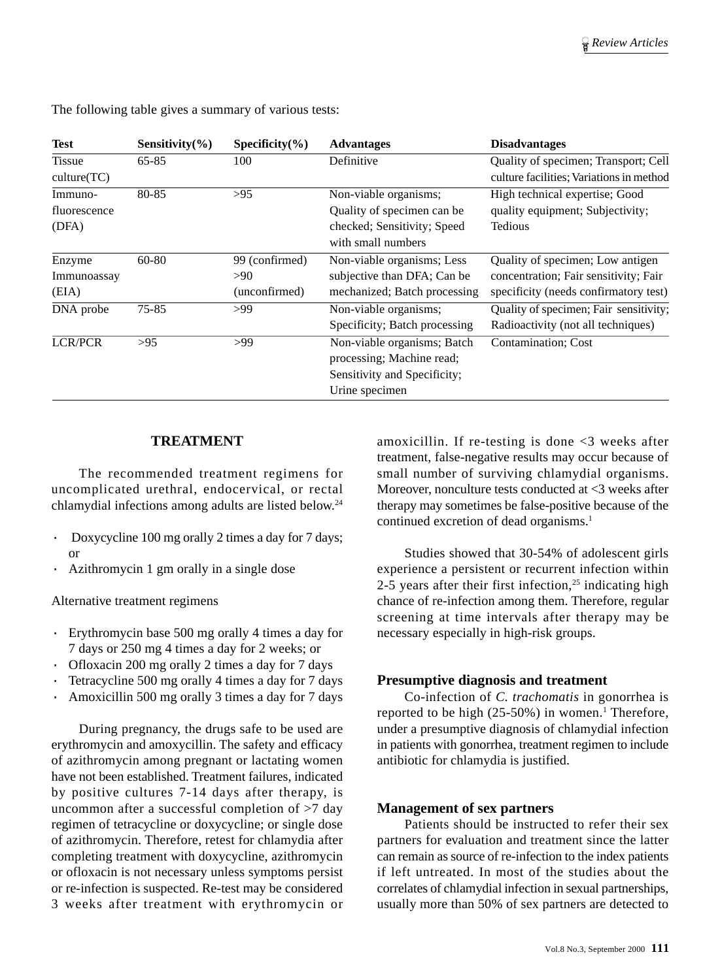| <b>Test</b>                      | Sensitivity $(\% )$ | Specificity $(\% )$                    | <b>Advantages</b>                                                                                          | <b>Disadvantages</b>                                                                                               |
|----------------------------------|---------------------|----------------------------------------|------------------------------------------------------------------------------------------------------------|--------------------------------------------------------------------------------------------------------------------|
| <b>Tissue</b><br>culture(TC)     | $65 - 85$           | 100                                    | Definitive                                                                                                 | Quality of specimen; Transport; Cell<br>culture facilities; Variations in method                                   |
| Immuno-<br>fluorescence<br>(DFA) | 80-85               | >95                                    | Non-viable organisms;<br>Quality of specimen can be<br>checked; Sensitivity; Speed<br>with small numbers   | High technical expertise; Good<br>quality equipment; Subjectivity;<br>Tedious                                      |
| Enzyme<br>Immunoassay<br>(EIA)   | 60-80               | 99 (confirmed)<br>>90<br>(unconfirmed) | Non-viable organisms; Less<br>subjective than DFA; Can be<br>mechanized; Batch processing                  | Quality of specimen; Low antigen<br>concentration; Fair sensitivity; Fair<br>specificity (needs confirmatory test) |
| DNA probe                        | 75-85               | >99                                    | Non-viable organisms;<br>Specificity; Batch processing                                                     | Quality of specimen; Fair sensitivity;<br>Radioactivity (not all techniques)                                       |
| <b>LCR/PCR</b>                   | >95                 | >99                                    | Non-viable organisms; Batch<br>processing; Machine read;<br>Sensitivity and Specificity;<br>Urine specimen | Contamination; Cost                                                                                                |

The following table gives a summary of various tests:

# **TREATMENT**

The recommended treatment regimens for uncomplicated urethral, endocervical, or rectal chlamydial infections among adults are listed below.24

- · Doxycycline 100 mg orally 2 times a day for 7 days; or
- Azithromycin 1 gm orally in a single dose

Alternative treatment regimens

- · Erythromycin base 500 mg orally 4 times a day for 7 days or 250 mg 4 times a day for 2 weeks; or
- Ofloxacin 200 mg orally 2 times a day for 7 days
- · Tetracycline 500 mg orally 4 times a day for 7 days
- · Amoxicillin 500 mg orally 3 times a day for 7 days

During pregnancy, the drugs safe to be used are erythromycin and amoxycillin. The safety and efficacy of azithromycin among pregnant or lactating women have not been established. Treatment failures, indicated by positive cultures 7-14 days after therapy, is uncommon after a successful completion of >7 day regimen of tetracycline or doxycycline; or single dose of azithromycin. Therefore, retest for chlamydia after completing treatment with doxycycline, azithromycin or ofloxacin is not necessary unless symptoms persist or re-infection is suspected. Re-test may be considered 3 weeks after treatment with erythromycin or amoxicillin. If re-testing is done <3 weeks after treatment, false-negative results may occur because of small number of surviving chlamydial organisms. Moreover, nonculture tests conducted at <3 weeks after therapy may sometimes be false-positive because of the continued excretion of dead organisms.<sup>1</sup>

Studies showed that 30-54% of adolescent girls experience a persistent or recurrent infection within 2-5 years after their first infection,<sup>25</sup> indicating high chance of re-infection among them. Therefore, regular screening at time intervals after therapy may be necessary especially in high-risk groups.

# **Presumptive diagnosis and treatment**

Co-infection of *C. trachomatis* in gonorrhea is reported to be high (25-50%) in women.<sup>1</sup> Therefore, under a presumptive diagnosis of chlamydial infection in patients with gonorrhea, treatment regimen to include antibiotic for chlamydia is justified.

## **Management of sex partners**

Patients should be instructed to refer their sex partners for evaluation and treatment since the latter can remain as source of re-infection to the index patients if left untreated. In most of the studies about the correlates of chlamydial infection in sexual partnerships, usually more than 50% of sex partners are detected to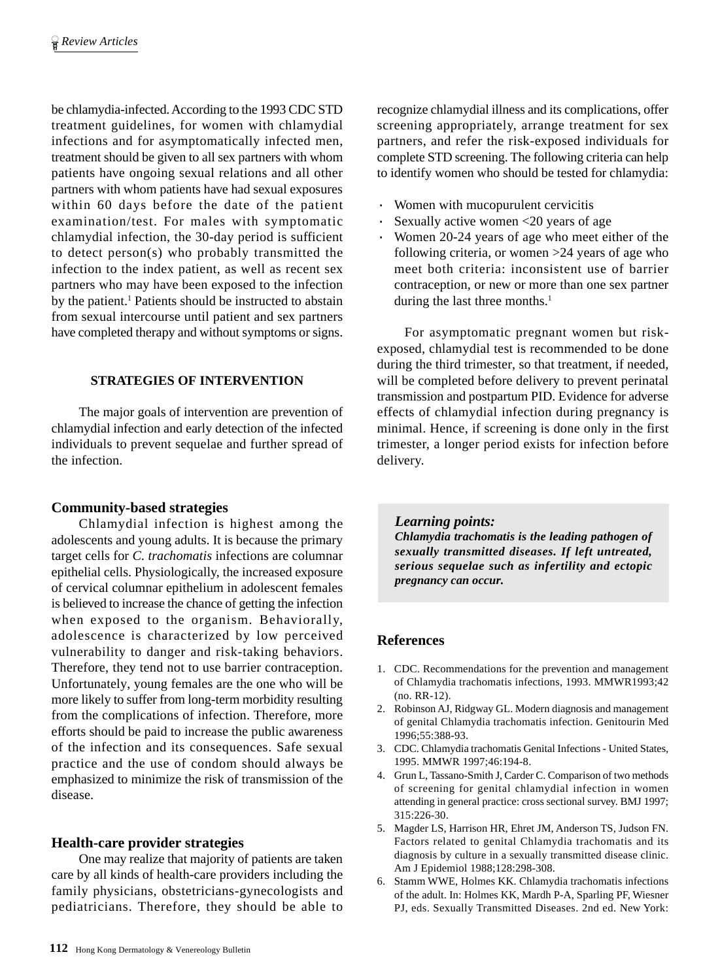be chlamydia-infected. According to the 1993 CDC STD treatment guidelines, for women with chlamydial infections and for asymptomatically infected men, treatment should be given to all sex partners with whom patients have ongoing sexual relations and all other partners with whom patients have had sexual exposures within 60 days before the date of the patient examination/test. For males with symptomatic chlamydial infection, the 30-day period is sufficient to detect person(s) who probably transmitted the infection to the index patient, as well as recent sex partners who may have been exposed to the infection by the patient.<sup>1</sup> Patients should be instructed to abstain from sexual intercourse until patient and sex partners have completed therapy and without symptoms or signs.

# **STRATEGIES OF INTERVENTION**

The major goals of intervention are prevention of chlamydial infection and early detection of the infected individuals to prevent sequelae and further spread of the infection.

# **Community-based strategies**

Chlamydial infection is highest among the adolescents and young adults. It is because the primary target cells for *C. trachomatis* infections are columnar epithelial cells. Physiologically, the increased exposure of cervical columnar epithelium in adolescent females is believed to increase the chance of getting the infection when exposed to the organism. Behaviorally, adolescence is characterized by low perceived vulnerability to danger and risk-taking behaviors. Therefore, they tend not to use barrier contraception. Unfortunately, young females are the one who will be more likely to suffer from long-term morbidity resulting from the complications of infection. Therefore, more efforts should be paid to increase the public awareness of the infection and its consequences. Safe sexual practice and the use of condom should always be emphasized to minimize the risk of transmission of the disease.

# **Health-care provider strategies**

One may realize that majority of patients are taken care by all kinds of health-care providers including the family physicians, obstetricians-gynecologists and pediatricians. Therefore, they should be able to recognize chlamydial illness and its complications, offer screening appropriately, arrange treatment for sex partners, and refer the risk-exposed individuals for complete STD screening. The following criteria can help to identify women who should be tested for chlamydia:

- · Women with mucopurulent cervicitis
- Sexually active women  $\leq 20$  years of age
- · Women 20-24 years of age who meet either of the following criteria, or women >24 years of age who meet both criteria: inconsistent use of barrier contraception, or new or more than one sex partner during the last three months.<sup>1</sup>

For asymptomatic pregnant women but riskexposed, chlamydial test is recommended to be done during the third trimester, so that treatment, if needed, will be completed before delivery to prevent perinatal transmission and postpartum PID. Evidence for adverse effects of chlamydial infection during pregnancy is minimal. Hence, if screening is done only in the first trimester, a longer period exists for infection before delivery.

# *Learning points:*

*Chlamydia trachomatis is the leading pathogen of sexually transmitted diseases. If left untreated, serious sequelae such as infertility and ectopic pregnancy can occur.*

# **References**

- 1. CDC. Recommendations for the prevention and management of Chlamydia trachomatis infections, 1993. MMWR1993;42 (no. RR-12).
- 2. Robinson AJ, Ridgway GL. Modern diagnosis and management of genital Chlamydia trachomatis infection. Genitourin Med 1996;55:388-93.
- 3. CDC. Chlamydia trachomatis Genital Infections United States, 1995. MMWR 1997;46:194-8.
- 4. Grun L, Tassano-Smith J, Carder C. Comparison of two methods of screening for genital chlamydial infection in women attending in general practice: cross sectional survey. BMJ 1997; 315:226-30.
- 5. Magder LS, Harrison HR, Ehret JM, Anderson TS, Judson FN. Factors related to genital Chlamydia trachomatis and its diagnosis by culture in a sexually transmitted disease clinic. Am J Epidemiol 1988;128:298-308.
- 6. Stamm WWE, Holmes KK. Chlamydia trachomatis infections of the adult. In: Holmes KK, Mardh P-A, Sparling PF, Wiesner PJ, eds. Sexually Transmitted Diseases. 2nd ed. New York: